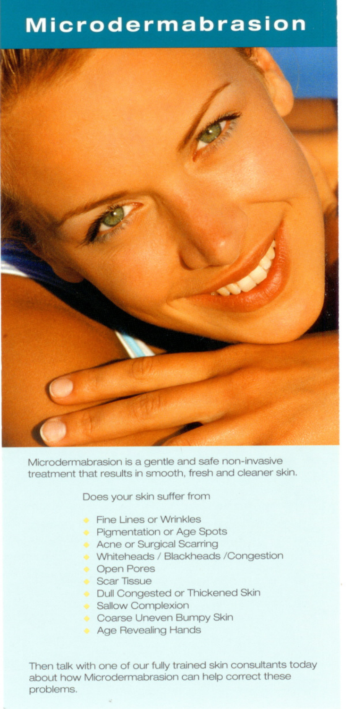## **Microdermabrasion**



Microdermabrasion is a gentle and safe non-invasive treatment that results in smooth, fresh and cleaner skin.

Does your skin suffer from

- **Fine Lines or Wrinkles**
- **Pigmentation or Age Spots**
- Acne or Surgical Scarring
- Whiteheads / Blackheads / Congestion
- **Open Pores**
- Scar Tissue
- **Dull Congested or Thickened Skin**
- Sallow Complexion
- Coarse Uneven Bumpy Skin
- Age Revealing Hands

Then talk with one of our fully trained skin consultants today about how Microdermabrasion can help correct these problems.